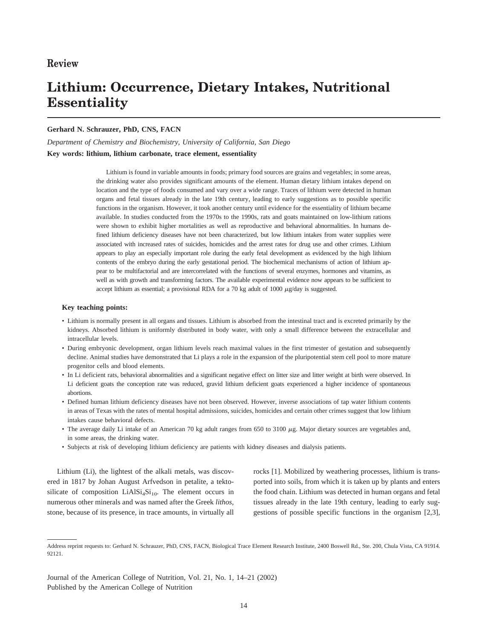# **Lithium: Occurrence, Dietary Intakes, Nutritional Essentiality**

#### **Gerhard N. Schrauzer, PhD, CNS, FACN**

*Department of Chemistry and Biochemistry, University of California, San Diego* **Key words: lithium, lithium carbonate, trace element, essentiality**

> Lithium is found in variable amounts in foods; primary food sources are grains and vegetables; in some areas, the drinking water also provides significant amounts of the element. Human dietary lithium intakes depend on location and the type of foods consumed and vary over a wide range. Traces of lithium were detected in human organs and fetal tissues already in the late 19th century, leading to early suggestions as to possible specific functions in the organism. However, it took another century until evidence for the essentiality of lithium became available. In studies conducted from the 1970s to the 1990s, rats and goats maintained on low-lithium rations were shown to exhibit higher mortalities as well as reproductive and behavioral abnormalities. In humans defined lithium deficiency diseases have not been characterized, but low lithium intakes from water supplies were associated with increased rates of suicides, homicides and the arrest rates for drug use and other crimes. Lithium appears to play an especially important role during the early fetal development as evidenced by the high lithium contents of the embryo during the early gestational period. The biochemical mechanisms of action of lithium appear to be multifactorial and are intercorrelated with the functions of several enzymes, hormones and vitamins, as well as with growth and transforming factors. The available experimental evidence now appears to be sufficient to accept lithium as essential; a provisional RDA for a 70 kg adult of 1000  $\mu$ g/day is suggested.

#### **Key teaching points:**

- Lithium is normally present in all organs and tissues. Lithium is absorbed from the intestinal tract and is excreted primarily by the kidneys. Absorbed lithium is uniformly distributed in body water, with only a small difference between the extracellular and intracellular levels.
- During embryonic development, organ lithium levels reach maximal values in the first trimester of gestation and subsequently decline. Animal studies have demonstrated that Li plays a role in the expansion of the pluripotential stem cell pool to more mature progenitor cells and blood elements.
- In Li deficient rats, behavioral abnormalities and a significant negative effect on litter size and litter weight at birth were observed. In Li deficient goats the conception rate was reduced, gravid lithium deficient goats experienced a higher incidence of spontaneous abortions.
- Defined human lithium deficiency diseases have not been observed. However, inverse associations of tap water lithium contents in areas of Texas with the rates of mental hospital admissions, suicides, homicides and certain other crimes suggest that low lithium intakes cause behavioral defects.
- The average daily Li intake of an American 70 kg adult ranges from 650 to 3100  $\mu$ g. Major dietary sources are vegetables and, in some areas, the drinking water.
- Subjects at risk of developing lithium deficiency are patients with kidney diseases and dialysis patients.

Lithium (Li), the lightest of the alkali metals, was discovered in 1817 by Johan August Arfvedson in petalite, a tektosilicate of composition  $LiAlSi<sub>4</sub>Si<sub>10</sub>$ . The element occurs in numerous other minerals and was named after the Greek *lithos*, stone, because of its presence, in trace amounts, in virtually all rocks [1]. Mobilized by weathering processes, lithium is transported into soils, from which it is taken up by plants and enters the food chain. Lithium was detected in human organs and fetal tissues already in the late 19th century, leading to early suggestions of possible specific functions in the organism [2,3],

Journal of the American College of Nutrition, Vol. 21, No. 1, 14–21 (2002) Published by the American College of Nutrition

Address reprint requests to: Gerhard N. Schrauzer, PhD, CNS, FACN, Biological Trace Element Research Institute, 2400 Boswell Rd., Ste. 200, Chula Vista, CA 91914. 92121.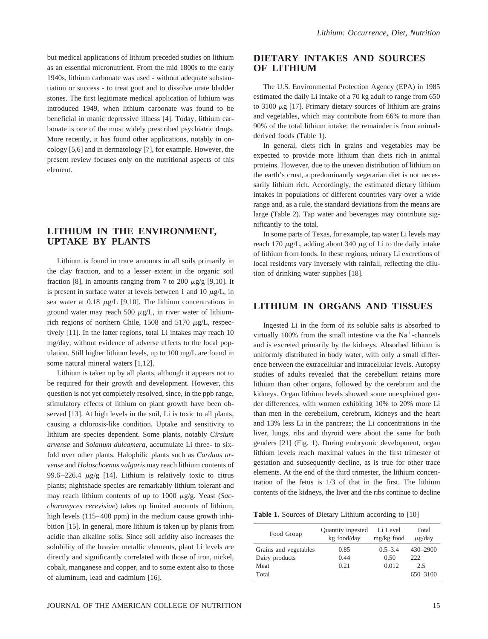but medical applications of lithium preceded studies on lithium as an essential micronutrient. From the mid 1800s to the early 1940s, lithium carbonate was used - without adequate substantiation or success - to treat gout and to dissolve urate bladder stones. The first legitimate medical application of lithium was introduced 1949, when lithium carbonate was found to be beneficial in manic depressive illness [4]. Today, lithium carbonate is one of the most widely prescribed psychiatric drugs. More recently, it has found other applications, notably in oncology [5,6] and in dermatology [7], for example. However, the present review focuses only on the nutritional aspects of this element.

#### **LITHIUM IN THE ENVIRONMENT, UPTAKE BY PLANTS**

Lithium is found in trace amounts in all soils primarily in the clay fraction, and to a lesser extent in the organic soil fraction [8], in amounts ranging from 7 to 200  $\mu$ g/g [9,10]. It is present in surface water at levels between 1 and 10  $\mu$ g/L, in sea water at  $0.18 \mu g/L$  [9,10]. The lithium concentrations in ground water may reach 500  $\mu$ g/L, in river water of lithiumrich regions of northern Chile, 1508 and 5170  $\mu$ g/L, respectively [11]. In the latter regions, total Li intakes may reach 10 mg/day, without evidence of adverse effects to the local population. Still higher lithium levels, up to 100 mg/L are found in some natural mineral waters [1,12].

Lithium is taken up by all plants, although it appears not to be required for their growth and development. However, this question is not yet completely resolved, since, in the ppb range, stimulatory effects of lithium on plant growth have been observed [13]. At high levels in the soil, Li is toxic to all plants, causing a chlorosis-like condition. Uptake and sensitivity to lithium are species dependent. Some plants, notably *Cirsium arvense* and *Solanum dulcamera*, accumulate Li three- to sixfold over other plants. Halophilic plants such as *Carduus arvense* and *Holoschoenus vulgaris* may reach lithium contents of 99.6–226.4  $\mu$ g/g [14]. Lithium is relatively toxic to citrus plants; nightshade species are remarkably lithium tolerant and may reach lithium contents of up to 1000  $\mu$ g/g. Yeast (*Saccharomyces cerevisiae*) takes up limited amounts of lithium, high levels (115–400 ppm) in the medium cause growth inhibition [15]. In general, more lithium is taken up by plants from acidic than alkaline soils. Since soil acidity also increases the solubility of the heavier metallic elements, plant Li levels are directly and significantly correlated with those of iron, nickel, cobalt, manganese and copper, and to some extent also to those of aluminum, lead and cadmium [16].

## **DIETARY INTAKES AND SOURCES OF LITHIUM**

The U.S. Environmental Protection Agency (EPA) in 1985 estimated the daily Li intake of a 70 kg adult to range from 650 to  $3100 \mu$ g [17]. Primary dietary sources of lithium are grains and vegetables, which may contribute from 66% to more than 90% of the total lithium intake; the remainder is from animalderived foods (Table 1).

In general, diets rich in grains and vegetables may be expected to provide more lithium than diets rich in animal proteins. However, due to the uneven distribution of lithium on the earth's crust, a predominantly vegetarian diet is not necessarily lithium rich. Accordingly, the estimated dietary lithium intakes in populations of different countries vary over a wide range and, as a rule, the standard deviations from the means are large (Table 2). Tap water and beverages may contribute significantly to the total.

In some parts of Texas, for example, tap water Li levels may reach 170  $\mu$ g/L, adding about 340  $\mu$ g of Li to the daily intake of lithium from foods. In these regions, urinary Li excretions of local residents vary inversely with rainfall, reflecting the dilution of drinking water supplies [18].

#### **LITHIUM IN ORGANS AND TISSUES**

Ingested Li in the form of its soluble salts is absorbed to virtually 100% from the small intestine via the  $Na<sup>+</sup>$ -channels and is excreted primarily by the kidneys. Absorbed lithium is uniformly distributed in body water, with only a small difference between the extracellular and intracellular levels. Autopsy studies of adults revealed that the cerebellum retains more lithium than other organs, followed by the cerebrum and the kidneys. Organ lithium levels showed some unexplained gender differences, with women exhibiting 10% to 20% more Li than men in the cerebellum, cerebrum, kidneys and the heart and 13% less Li in the pancreas; the Li concentrations in the liver, lungs, ribs and thyroid were about the same for both genders [21] (Fig. 1). During embryonic development, organ lithium levels reach maximal values in the first trimester of gestation and subsequently decline, as is true for other trace elements. At the end of the third trimester, the lithium concentration of the fetus is 1/3 of that in the first. The lithium contents of the kidneys, the liver and the ribs continue to decline

Table 1. Sources of Dietary Lithium according to [10]

| Food Group            | <b>Quantity ingested</b><br>kg food/day | Li Level<br>mg/kg food | Total<br>$\mu$ g/day |
|-----------------------|-----------------------------------------|------------------------|----------------------|
| Grains and vegetables | 0.85                                    | $0.5 - 3.4$            | $430 - 2900$         |
| Dairy products        | 0.44                                    | 0.50                   | 222                  |
| Meat                  | 0.21                                    | 0.012                  | 2.5                  |
| Total                 |                                         |                        | 650-3100             |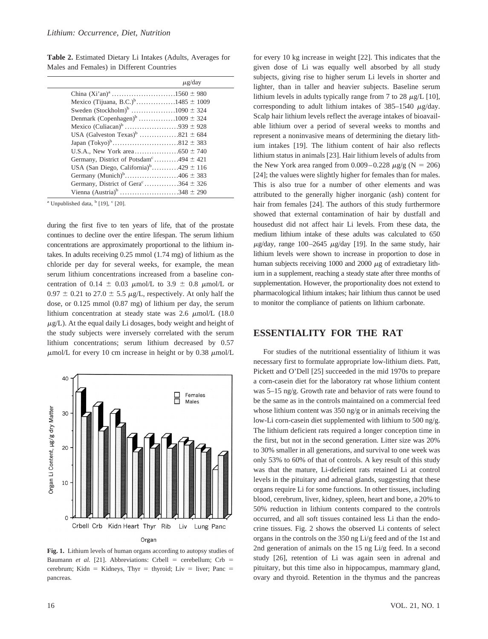**Table 2.** Estimated Dietary Li Intakes (Adults, Averages for Males and Females) in Different Countries

|                                                         | $\mu$ g/day |  |
|---------------------------------------------------------|-------------|--|
|                                                         |             |  |
| Mexico (Tijuana, B.C.) <sup>b</sup> 1485 $\pm$ 1009     |             |  |
|                                                         |             |  |
| Denmark (Copenhagen) <sup>b</sup> 1009 $\pm$ 324        |             |  |
| Mexico (Culiacan) <sup>b</sup> 939 $\pm$ 928            |             |  |
|                                                         |             |  |
|                                                         |             |  |
|                                                         |             |  |
| Germany, District of Potsdam <sup>c</sup> 494 $\pm$ 421 |             |  |
| USA (San Diego, California) <sup>b</sup> 429 $\pm$ 116  |             |  |
| Germany (Munich) <sup>b</sup> 406 $\pm$ 383             |             |  |
| Germany, District of Gera <sup>c</sup> 364 $\pm$ 326    |             |  |
| Vienna (Austria) <sup>b</sup> 348 $\pm$ 290             |             |  |
|                                                         |             |  |

<sup>a</sup> Unpublished data,  $\frac{b}{19}$ , <sup>c</sup> [20].

during the first five to ten years of life, that of the prostate continues to decline over the entire lifespan. The serum lithium concentrations are approximately proportional to the lithium intakes. In adults receiving 0.25 mmol (1.74 mg) of lithium as the chloride per day for several weeks, for example, the mean serum lithium concentrations increased from a baseline concentration of 0.14  $\pm$  0.03  $\mu$ mol/L to 3.9  $\pm$  0.8  $\mu$ mol/L or  $0.97 \pm 0.21$  to  $27.0 \pm 5.5$   $\mu$ g/L, respectively. At only half the dose, or 0.125 mmol (0.87 mg) of lithium per day, the serum lithium concentration at steady state was  $2.6 \mu mol/L$  (18.0)  $\mu$ g/L). At the equal daily Li dosages, body weight and height of the study subjects were inversely correlated with the serum lithium concentrations; serum lithium decreased by 0.57  $\mu$ mol/L for every 10 cm increase in height or by 0.38  $\mu$ mol/L



**Fig. 1.** Lithium levels of human organs according to autopsy studies of Baumann *et al.* [21]. Abbreviations: Crbell = cerebellum; Crb = cerebrum; Kidn = Kidneys, Thyr = thyroid; Liv = liver; Panc = pancreas.

for every 10 kg increase in weight [22]. This indicates that the given dose of Li was equally well absorbed by all study subjects, giving rise to higher serum Li levels in shorter and lighter, than in taller and heavier subjects. Baseline serum lithium levels in adults typically range from 7 to 28  $\mu$ g/L [10], corresponding to adult lithium intakes of  $385-1540 \mu$ g/day. Scalp hair lithium levels reflect the average intakes of bioavailable lithium over a period of several weeks to months and represent a noninvasive means of determining the dietary lithium intakes [19]. The lithium content of hair also reflects lithium status in animals [23]. Hair lithium levels of adults from the New York area ranged from  $0.009 - 0.228 \mu g/g$  (N = 206) [24]; the values were slightly higher for females than for males. This is also true for a number of other elements and was attributed to the generally higher inorganic (ash) content for hair from females [24]. The authors of this study furthermore showed that external contamination of hair by dustfall and housedust did not affect hair Li levels. From these data, the medium lithium intake of these adults was calculated to 650  $\mu$ g/day, range 100–2645  $\mu$ g/day [19]. In the same study, hair lithium levels were shown to increase in proportion to dose in human subjects receiving 1000 and 2000  $\mu$ g of extradietary lithium in a supplement, reaching a steady state after three months of supplementation. However, the proportionality does not extend to pharmacological lithium intakes; hair lithium thus cannot be used to monitor the compliance of patients on lithium carbonate.

# **ESSENTIALITY FOR THE RAT**

For studies of the nutritional essentiality of lithium it was necessary first to formulate appropriate low-lithium diets. Patt, Pickett and O'Dell [25] succeeded in the mid 1970s to prepare a corn-casein diet for the laboratory rat whose lithium content was 5–15 ng/g. Growth rate and behavior of rats were found to be the same as in the controls maintained on a commercial feed whose lithium content was 350 ng/g or in animals receiving the low-Li corn-casein diet supplemented with lithium to 500 ng/g. The lithium deficient rats required a longer conception time in the first, but not in the second generation. Litter size was 20% to 30% smaller in all generations, and survival to one week was only 53% to 60% of that of controls. A key result of this study was that the mature, Li-deficient rats retained Li at control levels in the pituitary and adrenal glands, suggesting that these organs require Li for some functions. In other tissues, including blood, cerebrum, liver, kidney, spleen, heart and bone, a 20% to 50% reduction in lithium contents compared to the controls occurred, and all soft tissues contained less Li than the endocrine tissues. Fig. 2 shows the observed Li contents of select organs in the controls on the 350 ng Li/g feed and of the 1st and 2nd generation of animals on the 15 ng Li/g feed. In a second study [26], retention of Li was again seen in adrenal and pituitary, but this time also in hippocampus, mammary gland, ovary and thyroid. Retention in the thymus and the pancreas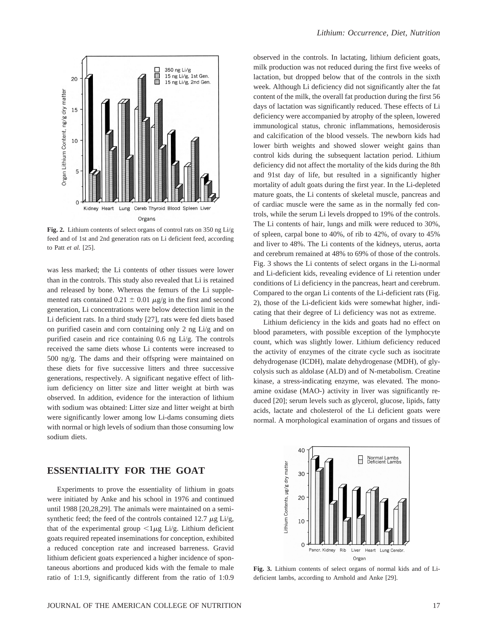

**Fig. 2.** Lithium contents of select organs of control rats on 350 ng Li/g feed and of 1st and 2nd generation rats on Li deficient feed, according to Patt *et al.* [25].

was less marked; the Li contents of other tissues were lower than in the controls. This study also revealed that Li is retained and released by bone. Whereas the femurs of the Li supplemented rats contained  $0.21 \pm 0.01 \mu g/g$  in the first and second generation, Li concentrations were below detection limit in the Li deficient rats. In a third study [27], rats were fed diets based on purified casein and corn containing only 2 ng Li/g and on purified casein and rice containing 0.6 ng Li/g. The controls received the same diets whose Li contents were increased to 500 ng/g. The dams and their offspring were maintained on these diets for five successive litters and three successive generations, respectively. A significant negative effect of lithium deficiency on litter size and litter weight at birth was observed. In addition, evidence for the interaction of lithium with sodium was obtained: Litter size and litter weight at birth were significantly lower among low Li-dams consuming diets with normal or high levels of sodium than those consuming low sodium diets.

## **ESSENTIALITY FOR THE GOAT**

Experiments to prove the essentiality of lithium in goats were initiated by Anke and his school in 1976 and continued until 1988 [20,28,29]. The animals were maintained on a semisynthetic feed; the feed of the controls contained 12.7  $\mu$ g Li/g, that of the experimental group  $\langle 1 \mu g L i/g$ . Lithium deficient goats required repeated inseminations for conception, exhibited a reduced conception rate and increased barreness. Gravid lithium deficient goats experienced a higher incidence of spontaneous abortions and produced kids with the female to male ratio of 1:1.9, significantly different from the ratio of 1:0.9 observed in the controls. In lactating, lithium deficient goats, milk production was not reduced during the first five weeks of lactation, but dropped below that of the controls in the sixth week. Although Li deficiency did not significantly alter the fat content of the milk, the overall fat production during the first 56 days of lactation was significantly reduced. These effects of Li deficiency were accompanied by atrophy of the spleen, lowered immunological status, chronic inflammations, hemosiderosis and calcification of the blood vessels. The newborn kids had lower birth weights and showed slower weight gains than control kids during the subsequent lactation period. Lithium deficiency did not affect the mortality of the kids during the 8th and 91st day of life, but resulted in a significantly higher mortality of adult goats during the first year. In the Li-depleted mature goats, the Li contents of skeletal muscle, pancreas and of cardiac muscle were the same as in the normally fed controls, while the serum Li levels dropped to 19% of the controls. The Li contents of hair, lungs and milk were reduced to 30%, of spleen, carpal bone to 40%, of rib to 42%, of ovary to 45% and liver to 48%. The Li contents of the kidneys, uterus, aorta and cerebrum remained at 48% to 69% of those of the controls. Fig. 3 shows the Li contents of select organs in the Li-normal and Li-deficient kids, revealing evidence of Li retention under conditions of Li deficiency in the pancreas, heart and cerebrum. Compared to the organ Li contents of the Li-deficient rats (Fig. 2), those of the Li-deficient kids were somewhat higher, indicating that their degree of Li deficiency was not as extreme.

Lithium deficiency in the kids and goats had no effect on blood parameters, with possible exception of the lymphocyte count, which was slightly lower. Lithium deficiency reduced the activity of enzymes of the citrate cycle such as isocitrate dehydrogenase (ICDH), malate dehydrogenase (MDH), of glycolysis such as aldolase (ALD) and of N-metabolism. Creatine kinase, a stress-indicating enzyme, was elevated. The monoamine oxidase (MAO-) activity in liver was significantly reduced [20]; serum levels such as glycerol, glucose, lipids, fatty acids, lactate and cholesterol of the Li deficient goats were normal. A morphological examination of organs and tissues of



**Fig. 3.** Lithium contents of select organs of normal kids and of Lideficient lambs, according to Arnhold and Anke [29].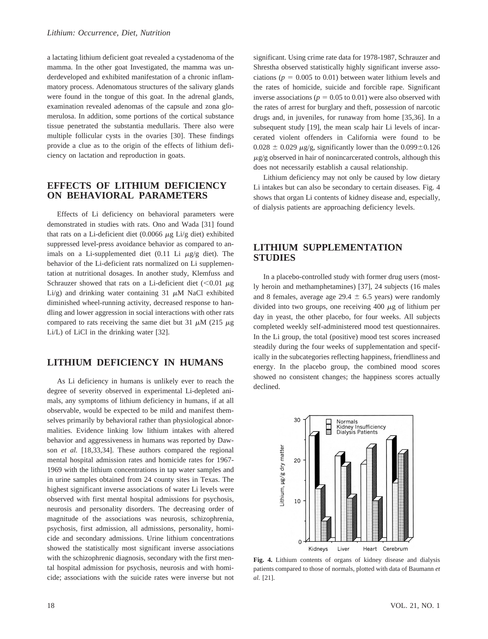a lactating lithium deficient goat revealed a cystadenoma of the mamma. In the other goat Investigated, the mamma was underdeveloped and exhibited manifestation of a chronic inflammatory process. Adenomatous structures of the salivary glands were found in the tongue of this goat. In the adrenal glands, examination revealed adenomas of the capsule and zona glomerulosa. In addition, some portions of the cortical substance tissue penetrated the substantia medullaris. There also were multiple follicular cysts in the ovaries [30]. These findings provide a clue as to the origin of the effects of lithium deficiency on lactation and reproduction in goats.

#### **EFFECTS OF LITHIUM DEFICIENCY ON BEHAVIORAL PARAMETERS**

Effects of Li deficiency on behavioral parameters were demonstrated in studies with rats. Ono and Wada [31] found that rats on a Li-deficient diet (0.0066  $\mu$ g Li/g diet) exhibited suppressed level-press avoidance behavior as compared to animals on a Li-supplemented diet  $(0.11 \text{ Li } \mu g/g \text{ diet})$ . The behavior of the Li-deficient rats normalized on Li supplementation at nutritional dosages. In another study, Klemfuss and Schrauzer showed that rats on a Li-deficient diet  $(< 0.01 \mu g$ Li/g) and drinking water containing 31  $\mu$ M NaCl exhibited diminished wheel-running activity, decreased response to handling and lower aggression in social interactions with other rats compared to rats receiving the same diet but 31  $\mu$ M (215  $\mu$ g Li/L) of LiCl in the drinking water [32].

#### **LITHIUM DEFICIENCY IN HUMANS**

As Li deficiency in humans is unlikely ever to reach the degree of severity observed in experimental Li-depleted animals, any symptoms of lithium deficiency in humans, if at all observable, would be expected to be mild and manifest themselves primarily by behavioral rather than physiological abnormalities. Evidence linking low lithium intakes with altered behavior and aggressiveness in humans was reported by Dawson *et al.* [18,33,34]. These authors compared the regional mental hospital admission rates and homicide rates for 1967- 1969 with the lithium concentrations in tap water samples and in urine samples obtained from 24 county sites in Texas. The highest significant inverse associations of water Li levels were observed with first mental hospital admissions for psychosis, neurosis and personality disorders. The decreasing order of magnitude of the associations was neurosis, schizophrenia, psychosis, first admission, all admissions, personality, homicide and secondary admissions. Urine lithium concentrations showed the statistically most significant inverse associations with the schizophrenic diagnosis, secondary with the first mental hospital admission for psychosis, neurosis and with homicide; associations with the suicide rates were inverse but not

significant. Using crime rate data for 1978-1987, Schrauzer and Shrestha observed statistically highly significant inverse associations ( $p = 0.005$  to 0.01) between water lithium levels and the rates of homicide, suicide and forcible rape. Significant inverse associations ( $p = 0.05$  to 0.01) were also observed with the rates of arrest for burglary and theft, possession of narcotic drugs and, in juveniles, for runaway from home [35,36]. In a subsequent study [19], the mean scalp hair Li levels of incarcerated violent offenders in California were found to be  $0.028 \pm 0.029$   $\mu$ g/g, significantly lower than the  $0.099 \pm 0.126$  $\mu$ g/g observed in hair of nonincarcerated controls, although this does not necessarily establish a causal relationship.

Lithium deficiency may not only be caused by low dietary Li intakes but can also be secondary to certain diseases. Fig. 4 shows that organ Li contents of kidney disease and, especially, of dialysis patients are approaching deficiency levels.

## **LITHIUM SUPPLEMENTATION STUDIES**

In a placebo-controlled study with former drug users (mostly heroin and methamphetamines) [37], 24 subjects (16 males and 8 females, average age  $29.4 \pm 6.5$  years) were randomly divided into two groups, one receiving 400  $\mu$ g of lithium per day in yeast, the other placebo, for four weeks. All subjects completed weekly self-administered mood test questionnaires. In the Li group, the total (positive) mood test scores increased steadily during the four weeks of supplementation and specifically in the subcategories reflecting happiness, friendliness and energy. In the placebo group, the combined mood scores showed no consistent changes; the happiness scores actually declined.



**Fig. 4.** Lithium contents of organs of kidney disease and dialysis patients compared to those of normals, plotted with data of Baumann *et al.* [21].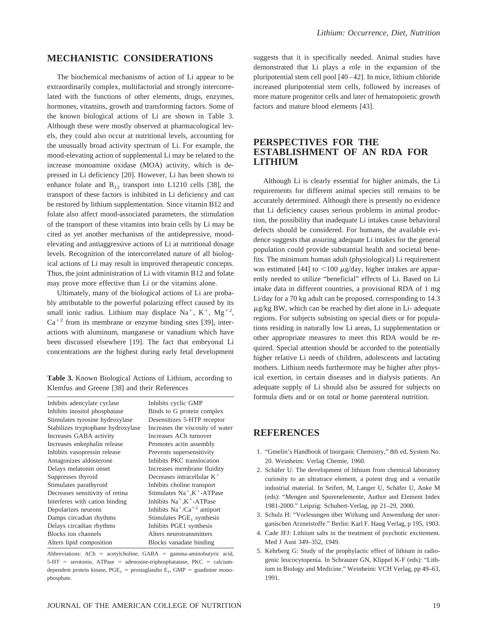## **MECHANISTIC CONSIDERATIONS**

The biochemical mechanisms of action of Li appear to be extraordinarily complex, multifactorial and strongly intercorrelated with the functions of other elements, drugs, enzymes, hormones, vitamins, growth and transforming factors. Some of the known biological actions of Li are shown in Table 3. Although these were mostly observed at pharmacological levels, they could also occur at nutritional levels, accounting for the unusually broad activity spectrum of Li. For example, the mood-elevating action of supplemental Li may be related to the increase monoamine oxidase (MOA) activity, which is depressed in Li deficiency [20]. However, Li has been shown to enhance folate and  $B_{12}$  transport into L1210 cells [38], the transport of these factors is inhibited in Li deficiency and can be restored by lithium supplementation. Since vitamin B12 and folate also affect mood-associated parameters, the stimulation of the transport of these vitamins into brain cells by Li may be cited as yet another mechanism of the antidepressive, moodelevating and antiaggressive actions of Li at nutritional dosage levels. Recognition of the intercorrelated nature of all biological actions of Li may result in improved therapeutic concepts. Thus, the joint administration of Li with vitamin B12 and folate may prove more effective than Li or the vitamins alone.

Ultimately, many of the biological actions of Li are probably attributable to the powerful polarizing effect caused by its small ionic radius. Lithium may displace Na<sup>+</sup>, K<sup>+</sup>, Mg<sup>+2</sup>,  $Ca^{+2}$  from its membrane or enzyme binding sites [39], interactions with aluminum, manganese or vanadium which have been discussed elsewhere [19]. The fact that embryonal Li concentrations are the highest during early fetal development

**Table 3.** Known Biological Actions of Lithium, according to Klemfus and Greene [38] and their References

| Inhibits adencylate cyclase        | Inhibits cyclic GMP                              |
|------------------------------------|--------------------------------------------------|
| Inhibits inositol phosphatase      | Binds to G protein complex                       |
| Stimulates tyrosine hydroxylase    | Desensitizes 5-HTP receptor                      |
| Stabilizes tryptophane hydroxylase | Increases the viscosity of water                 |
| Increases GABA activity            | Increases ACh turnover                           |
| Increases enkephalin release       | Promotes actin assembly                          |
| Inhibits vasopressin release       | Prevents supersensitivity                        |
| Antagonizes aldosterone            | Inhibits PKC translocation                       |
| Delays melatonin onset             | Increases membrane fluidity                      |
| Suppresses thyroid                 | Decreases intracellular $K^+$                    |
| Stimulates parathyroid             | Inhibits choline transport                       |
| Decreases sensitivity of retina    | Stimulates $Na^+, K^+$ -ATPase                   |
| Interferes with cation binding     | Inhibits Na <sup>+</sup> ,K <sup>+</sup> -ATPase |
| Depolarizes neurons                | Inhibits $Na^+/Ca^{+2}$ antiport                 |
| Damps circadian rhythms            | Stimulates $PGE_1$ synthesis                     |
| Delays circadian rhythms           | Inhibits PGE1 synthesis                          |
| Blocks ion channels                | Alters neurotransmitters                         |
| Alters lipid composition           | Blocks vanadate binding                          |
|                                    |                                                  |

Abbreviations:  $A$ Ch = acetylcholine,  $GABA$  = gamma-aminobutyric acid,  $5-HT$  = serotonin, ATPase = adenosine-triphosphatatase, PKC = calciumdependent protein kinase,  $PGE_1$  = prostaglandin  $E_1$ ,  $GMP$  = guadinine monophosphate.

suggests that it is specifically needed. Animal studies have demonstrated that Li plays a role in the expansion of the pluripotential stem cell pool [40–42]. In mice, lithium chloride increased pluripotential stem cells, followed by increases of more mature progenitor cells and later of hematopoietic growth factors and mature blood elements [43].

# **PERSPECTIVES FOR THE ESTABLISHMENT OF AN RDA FOR LITHIUM**

Although Li is clearly essential for higher animals, the Li requirements for different animal species still remains to be accurately determined. Although there is presently no evidence that Li deficiency causes serious problems in animal production, the possibility that inadequate Li intakes cause behavioral defects should be considered. For humans, the available evidence suggests that assuring adequate Li intakes for the general population could provide substantial health and societal benefits. The minimum human adult (physiological) Li requirement was estimated [44] to  $\langle 100 \mu g/day, higher$  intakes are apparently needed to utilize "beneficial" effects of Li. Based on Li intake data in different countries, a provisional RDA of 1 mg Li/day for a 70 kg adult can be proposed, corresponding to 14.3  $\mu$ g/kg BW, which can be reached by diet alone in Li- adequate regions. For subjects subsisting on special diets or for populations residing in naturally low Li areas, Li supplementation or other appropriate measures to meet this RDA would be required. Special attention should be accorded to the potentially higher relative Li needs of children, adolescents and lactating mothers. Lithium needs furthermore may be higher after physical exertion, in certain diseases and in dialysis patients. An adequate supply of Li should also be assured for subjects on formula diets and or on total or home parenteral nutrition.

# **REFERENCES**

- 1. "Gmelin's Handbook of Inorganic Chemistry," 8th ed, System No. 20. Weinheim: Verlag Chemie, 1960.
- 2. Schäfer U: The development of lithium from chemical laboratory curiosity to an ultratrace element, a potent drug and a versatile industrial material. In Seifert, M, Langer U, Schäfer U, Anke M (eds): "Mengen und Spurenelemente, Author and Element Index 1981-2000." Leipzig: Schubert-Verlag, pp 21–29, 2000.
- 3. Schulz H: "Vorlesungen über Wirkung und Anwendung der unorganischen Arzneistoffe." Berlin: Karl F. Haug Verlag, p 195, 1903.
- 4. Cade JFJ: Lithium salts in the treatment of psychotic excitement. Med J Aust 349–352, 1949.
- 5. Kehrberg G: Study of the prophylactic effect of lithium in radiogenic leucocytopenia. In Schrauzer GN, Klippel K-F (eds): "Lithium in Biology and Medicine." Weinheim: VCH Verlag, pp 49–63, 1991.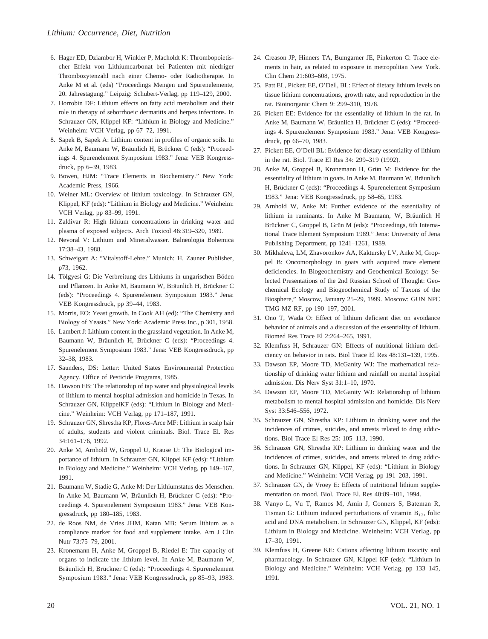- 6. Hager ED, Dziambor H, Winkler P, Macholdt K: Thrombopoietischer Effekt von Lithiumcarbonat bei Patienten mit niedriger Thrombozytenzahl nach einer Chemo- oder Radiotherapie. In Anke M et al. (eds) "Proceedings Mengen und Spurenelemente, 20. Jahrestagung." Leipzig: Schubert-Verlag, pp 119–129, 2000.
- 7. Horrobin DF: Lithium effects on fatty acid metabolism and their role in therapy of seborrhoeic dermatitis and herpes infections. In Schrauzer GN, Klippel KF: "Lithium in Biology and Medicine." Weinheim: VCH Verlag, pp 67–72, 1991.
- 8. Sapek B, Sapek A: Lithium content in profiles of organic soils. In Anke M, Baumann W, Bräunlich H, Brückner C (eds): "Proceedings 4. Spurenelement Symposium 1983." Jena: VEB Kongressdruck, pp 6–39, 1983.
- 9. Bowen, HJM: "Trace Elements in Biochemistry." New York: Academic Press, 1966.
- 10. Weiner ML: Overview of lithium toxicology. In Schrauzer GN, Klippel, KF (eds): "Lithium in Biology and Medicine." Weinheim: VCH Verlag, pp 83–99, 1991.
- 11. Zaldivar R: High lithium concentrations in drinking water and plasma of exposed subjects. Arch Toxicol 46:319–320, 1989.
- 12. Nevoral V: Lithium und Mineralwasser. Balneologia Bohemica 17:38–43, 1988.
- 13. Schweigart A: "Vitalstoff-Lehre." Munich: H. Zauner Publisher, p73, 1962.
- 14. Tölgyesi G: Die Verbreitung des Lithiums in ungarischen Böden und Pflanzen. In Anke M, Baumann W, Bräunlich H, Brückner C (eds): "Proceedings 4. Spurenelement Symposium 1983." Jena: VEB Kongressdruck, pp 39–44, 1983.
- 15. Morris, EO: Yeast growth. In Cook AH (ed): "The Chemistry and Biology of Yeasts." New York: Academic Press Inc., p 301, 1958.
- 16. Lambert J: Lithium content in the grassland vegetation. In Anke M, Baumann W, Bräunlich H, Brückner C (eds): "Proceedings 4. Spurenelement Symposium 1983." Jena: VEB Kongressdruck, pp 32–38, 1983.
- 17. Saunders, DS: Letter: United States Environmental Protection Agency. Office of Pesticide Programs, 1985.
- 18. Dawson EB: The relationship of tap water and physiological levels of lithium to mental hospital admission and homicide in Texas. In Schrauzer GN, KlippelKF (eds): "Lithium in Biology and Medicine." Weinheim: VCH Verlag, pp 171–187, 1991.
- 19. Schrauzer GN, Shrestha KP, Flores-Arce MF: Lithium in scalp hair of adults, students and violent criminals. Biol. Trace El. Res 34:161–176, 1992.
- 20. Anke M, Arnhold W, Groppel U, Krause U: The Biological importance of lithium. In Schrauzer GN, Klippel KF (eds): "Lithium in Biology and Medicine." Weinheim: VCH Verlag, pp 149–167, 1991.
- 21. Baumann W, Stadie G, Anke M: Der Lithiumstatus des Menschen. In Anke M, Baumann W, Bräunlich H, Brückner C (eds): "Proceedings 4. Spurenelement Symposium 1983." Jena: VEB Kongressdruck, pp 180–185, 1983.
- 22. de Roos NM, de Vries JHM, Katan MB: Serum lithium as a compliance marker for food and supplement intake. Am J Clin Nutr 73:75–79, 2001.
- 23. Kronemann H, Anke M, Groppel B, Riedel E: The capacity of organs to indicate the lithium level. In Anke M, Baumann W, Bräunlich H, Brückner C (eds): "Proceedings 4. Spurenelement Symposium 1983." Jena: VEB Kongressdruck, pp 85–93, 1983.
- 24. Creason JP, Hinners TA, Bumgarner JE, Pinkerton C: Trace elements in hair, as related to exposure in metropolitan New York. Clin Chem 21:603–608, 1975.
- 25. Patt EL, Pickett EE, O'Dell, BL: Effect of dietary lithium levels on tissue lithium concentrations, growth rate, and reproduction in the rat. Bioinorganic Chem 9: 299–310, 1978.
- 26. Pickett EE: Evidence for the essentiality of lithium in the rat. In Anke M, Baumann W, Bräunlich H, Brückner C (eds): "Proceedings 4. Spurenelement Symposium 1983." Jena: VEB Kongressdruck, pp 66–70, 1983.
- 27. Pickett EE, O'Dell BL: Evidence for dietary essentiality of lithium in the rat. Biol. Trace El Res 34: 299–319 (1992).
- 28. Anke M, Groppel B, Kronemann H, Grün M: Evidence for the essentiality of lithium in goats. In Anke M, Baumann W, Bräunlich H, Brückner C (eds): "Proceedings 4. Spurenelement Symposium 1983." Jena: VEB Kongressdruck, pp 58–65, 1983.
- 29. Arnhold W, Anke M: Further evidence of the essentiality of lithium in ruminants. In Anke M Baumann, W, Bräunlich H Brückner C, Groppel B, Grün M (eds): "Proceedings, 6th International Trace Element Symposium 1989." Jena: University of Jena Publishing Department, pp 1241–1261, 1989.
- 30. Mikhaleva, LM, Zhavoronkov AA, Kaktursky LV, Anke M, Groppel B: Oncomorphology in goats with acquired trace element deficiencies. In Biogeochemistry and Geochemical Ecology: Selected Presentations of the 2nd Russian School of Thought: Geochemical Ecology and Biogeochemical Study of Taxons of the Biosphere," Moscow, January 25–29, 1999. Moscow: GUN NPC TMG MZ RF, pp 190–197, 2001.
- 31. Ono T, Wada O: Effect of lithium deficient diet on avoidance behavior of animals and a discussion of the essentiality of lithium. Biomed Res Trace El 2:264–265, 1991.
- 32. Klemfuss H, Schrauzer GN: Effects of nutritional lithium deficiency on behavior in rats. Biol Trace El Res 48:131–139, 1995.
- 33. Dawson EP, Moore TD, McGanity WJ: The mathematical relationship of drinking water lithium and rainfall on mental hospital admission. Dis Nerv Syst 31:1–10, 1970.
- 34. Dawson EP, Moore TD, McGanity WJ: Relationship of lithium metabolism to mental hospital admission and homicide. Dis Nerv Syst 33:546–556, 1972.
- 35. Schrauzer GN, Shrestha KP: Lithium in drinking water and the incidences of crimes, suicides, and arrests related to drug addictions. Biol Trace El Res 25: 105–113, 1990.
- 36. Schrauzer GN, Shrestha KP: Lithium in drinking water and the incidences of crimes, suicides, and arrests related to drug addictions. In Schrauzer GN, Klippel, KF (eds): "Lithium in Biology and Medicine." Weinheim: VCH Verlag, pp 191–203, 1991.
- 37. Schrauzer GN, de Vroey E: Effects of nutritional lithium supplementation on mood. Biol. Trace El. Res 40:89–101, 1994.
- 38. Vanyo L, Vu T, Ramos M, Amin J, Conners S, Bateman R, Tisman G: Lithium induced perturbations of vitamin  $B_{12}$ , folic acid and DNA metabolism. In Schrauzer GN, Klippel, KF (eds): Lithium in Biology and Medicine. Weinheim: VCH Verlag, pp 17–30, 1991.
- 39. Klemfuss H, Greene KE: Cations affecting lithium toxicity and pharmacology. In Schrauzer GN, Klippel KF (eds): "Lithium in Biology and Medicine." Weinheim: VCH Verlag, pp 133–145, 1991.